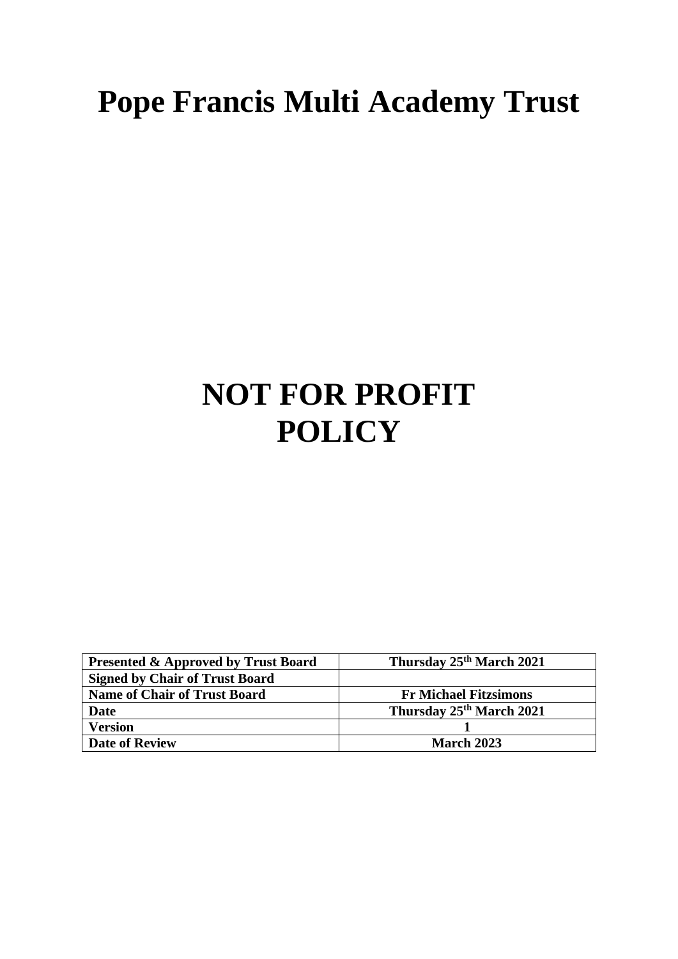## **Pope Francis Multi Academy Trust**

## **NOT FOR PROFIT POLICY**

| <b>Presented &amp; Approved by Trust Board</b> | Thursday 25 <sup>th</sup> March 2021 |
|------------------------------------------------|--------------------------------------|
| <b>Signed by Chair of Trust Board</b>          |                                      |
| <b>Name of Chair of Trust Board</b>            | <b>Fr Michael Fitzsimons</b>         |
| <b>Date</b>                                    | Thursday 25 <sup>th</sup> March 2021 |
| <b>Version</b>                                 |                                      |
| <b>Date of Review</b>                          | <b>March 2023</b>                    |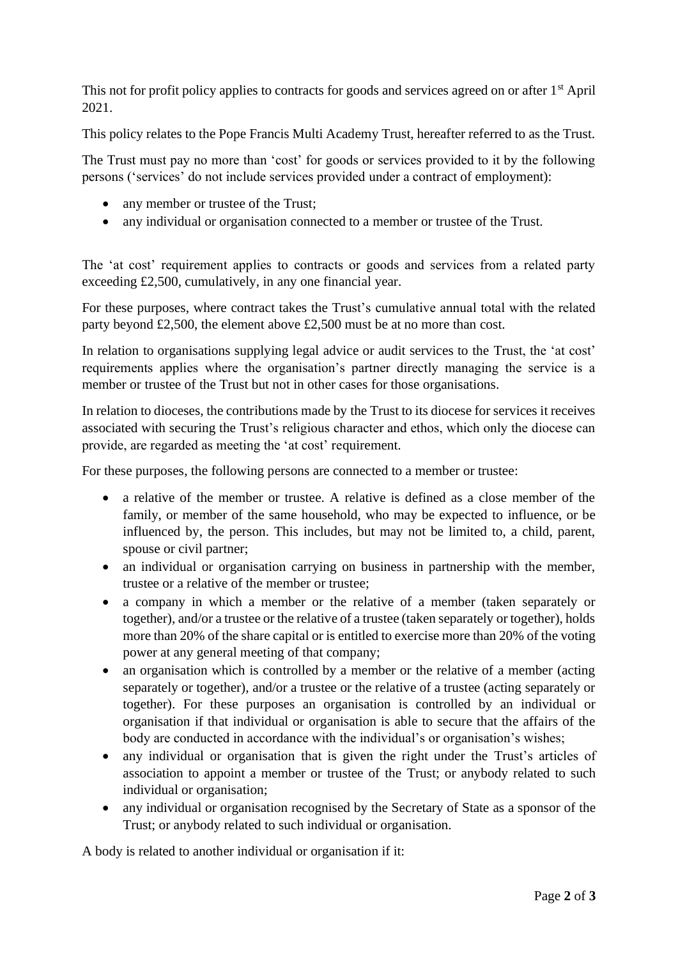This not for profit policy applies to contracts for goods and services agreed on or after 1<sup>st</sup> April 2021.

This policy relates to the Pope Francis Multi Academy Trust, hereafter referred to as the Trust.

The Trust must pay no more than 'cost' for goods or services provided to it by the following persons ('services' do not include services provided under a contract of employment):

- any member or trustee of the Trust;
- any individual or organisation connected to a member or trustee of the Trust.

The 'at cost' requirement applies to contracts or goods and services from a related party exceeding £2,500, cumulatively, in any one financial year.

For these purposes, where contract takes the Trust's cumulative annual total with the related party beyond £2,500, the element above £2,500 must be at no more than cost.

In relation to organisations supplying legal advice or audit services to the Trust, the 'at cost' requirements applies where the organisation's partner directly managing the service is a member or trustee of the Trust but not in other cases for those organisations.

In relation to dioceses, the contributions made by the Trust to its diocese for services it receives associated with securing the Trust's religious character and ethos, which only the diocese can provide, are regarded as meeting the 'at cost' requirement.

For these purposes, the following persons are connected to a member or trustee:

- a relative of the member or trustee. A relative is defined as a close member of the family, or member of the same household, who may be expected to influence, or be influenced by, the person. This includes, but may not be limited to, a child, parent, spouse or civil partner;
- an individual or organisation carrying on business in partnership with the member, trustee or a relative of the member or trustee;
- a company in which a member or the relative of a member (taken separately or together), and/or a trustee or the relative of a trustee (taken separately or together), holds more than 20% of the share capital or is entitled to exercise more than 20% of the voting power at any general meeting of that company;
- an organisation which is controlled by a member or the relative of a member (acting separately or together), and/or a trustee or the relative of a trustee (acting separately or together). For these purposes an organisation is controlled by an individual or organisation if that individual or organisation is able to secure that the affairs of the body are conducted in accordance with the individual's or organisation's wishes;
- any individual or organisation that is given the right under the Trust's articles of association to appoint a member or trustee of the Trust; or anybody related to such individual or organisation;
- any individual or organisation recognised by the Secretary of State as a sponsor of the Trust; or anybody related to such individual or organisation.

A body is related to another individual or organisation if it: